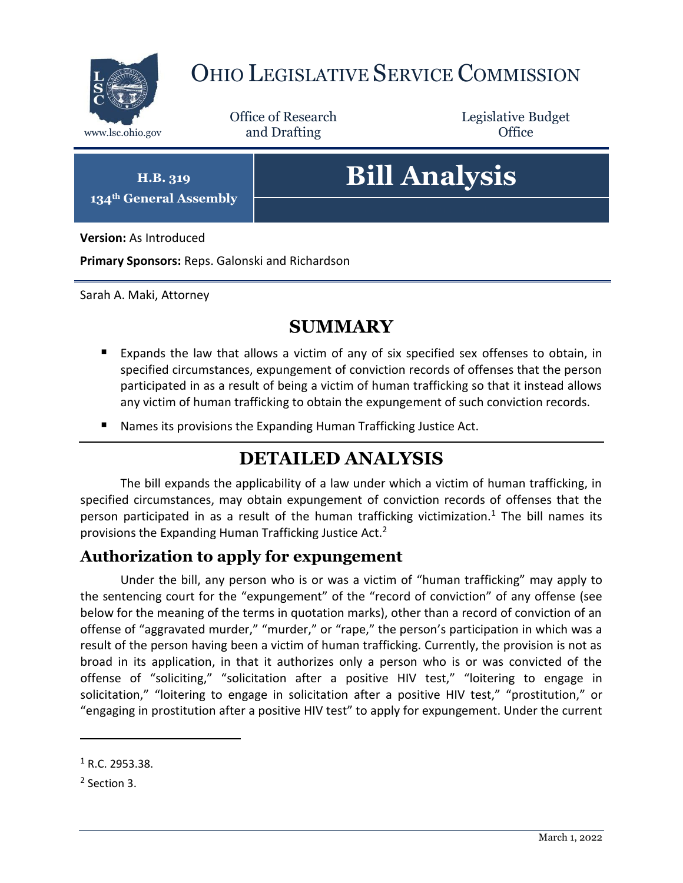

## OHIO LEGISLATIVE SERVICE COMMISSION

Office of Research www.lsc.ohio.gov **and Drafting Office** 

Legislative Budget

**H.B. 319 134th General Assembly**

# **Bill Analysis**

**Version:** As Introduced

**Primary Sponsors:** Reps. Galonski and Richardson

Sarah A. Maki, Attorney

### **SUMMARY**

- Expands the law that allows a victim of any of six specified sex offenses to obtain, in specified circumstances, expungement of conviction records of offenses that the person participated in as a result of being a victim of human trafficking so that it instead allows any victim of human trafficking to obtain the expungement of such conviction records.
- Names its provisions the Expanding Human Trafficking Justice Act.

## **DETAILED ANALYSIS**

The bill expands the applicability of a law under which a victim of human trafficking, in specified circumstances, may obtain expungement of conviction records of offenses that the person participated in as a result of the human trafficking victimization.<sup>1</sup> The bill names its provisions the Expanding Human Trafficking Justice Act.<sup>2</sup>

#### **Authorization to apply for expungement**

Under the bill, any person who is or was a victim of "human trafficking" may apply to the sentencing court for the "expungement" of the "record of conviction" of any offense (see below for the meaning of the terms in quotation marks), other than a record of conviction of an offense of "aggravated murder," "murder," or "rape," the person's participation in which was a result of the person having been a victim of human trafficking. Currently, the provision is not as broad in its application, in that it authorizes only a person who is or was convicted of the offense of "soliciting," "solicitation after a positive HIV test," "loitering to engage in solicitation," "loitering to engage in solicitation after a positive HIV test," "prostitution," or "engaging in prostitution after a positive HIV test" to apply for expungement. Under the current

 $1 R.C. 2953.38.$ 

<sup>&</sup>lt;sup>2</sup> Section 3.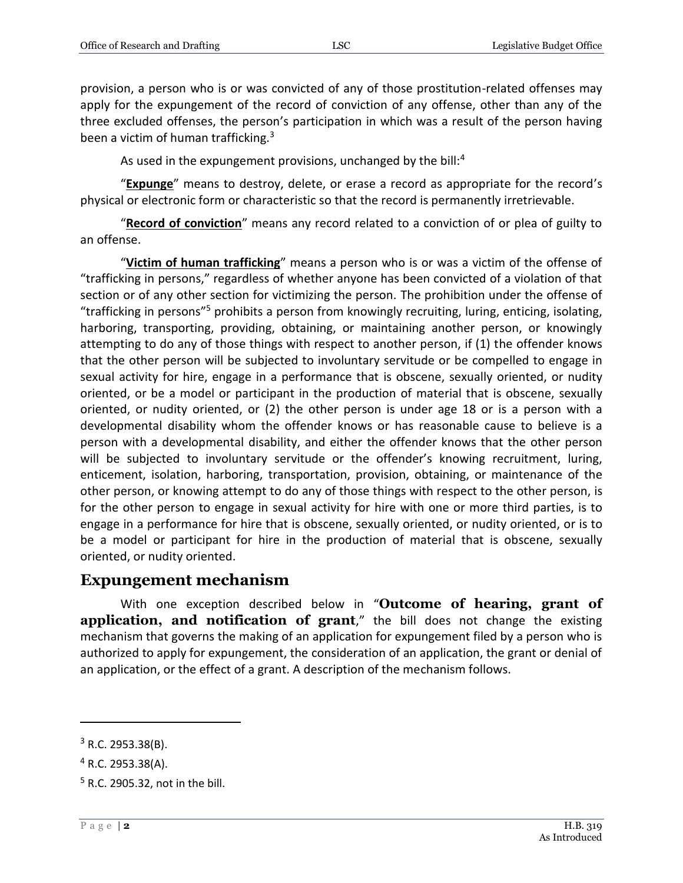provision, a person who is or was convicted of any of those prostitution-related offenses may apply for the expungement of the record of conviction of any offense, other than any of the three excluded offenses, the person's participation in which was a result of the person having been a victim of human trafficking.<sup>3</sup>

As used in the expungement provisions, unchanged by the bill:<sup>4</sup>

"**Expunge**" means to destroy, delete, or erase a record as appropriate for the record's physical or electronic form or characteristic so that the record is permanently irretrievable.

"**Record of conviction**" means any record related to a conviction of or plea of guilty to an offense.

"**Victim of human trafficking**" means a person who is or was a victim of the offense of "trafficking in persons," regardless of whether anyone has been convicted of a violation of that section or of any other section for victimizing the person. The prohibition under the offense of "trafficking in persons"<sup>5</sup> prohibits a person from knowingly recruiting, luring, enticing, isolating, harboring, transporting, providing, obtaining, or maintaining another person, or knowingly attempting to do any of those things with respect to another person, if (1) the offender knows that the other person will be subjected to involuntary servitude or be compelled to engage in sexual activity for hire, engage in a performance that is obscene, sexually oriented, or nudity oriented, or be a model or participant in the production of material that is obscene, sexually oriented, or nudity oriented, or (2) the other person is under age 18 or is a person with a developmental disability whom the offender knows or has reasonable cause to believe is a person with a developmental disability, and either the offender knows that the other person will be subjected to involuntary servitude or the offender's knowing recruitment, luring, enticement, isolation, harboring, transportation, provision, obtaining, or maintenance of the other person, or knowing attempt to do any of those things with respect to the other person, is for the other person to engage in sexual activity for hire with one or more third parties, is to engage in a performance for hire that is obscene, sexually oriented, or nudity oriented, or is to be a model or participant for hire in the production of material that is obscene, sexually oriented, or nudity oriented.

#### **Expungement mechanism**

With one exception described below in "**Outcome of hearing, grant of application, and notification of grant**," the bill does not change the existing mechanism that governs the making of an application for expungement filed by a person who is authorized to apply for expungement, the consideration of an application, the grant or denial of an application, or the effect of a grant. A description of the mechanism follows.

 $3$  R.C. 2953.38(B).

 $4$  R.C. 2953.38(A).

 $<sup>5</sup>$  R.C. 2905.32, not in the bill.</sup>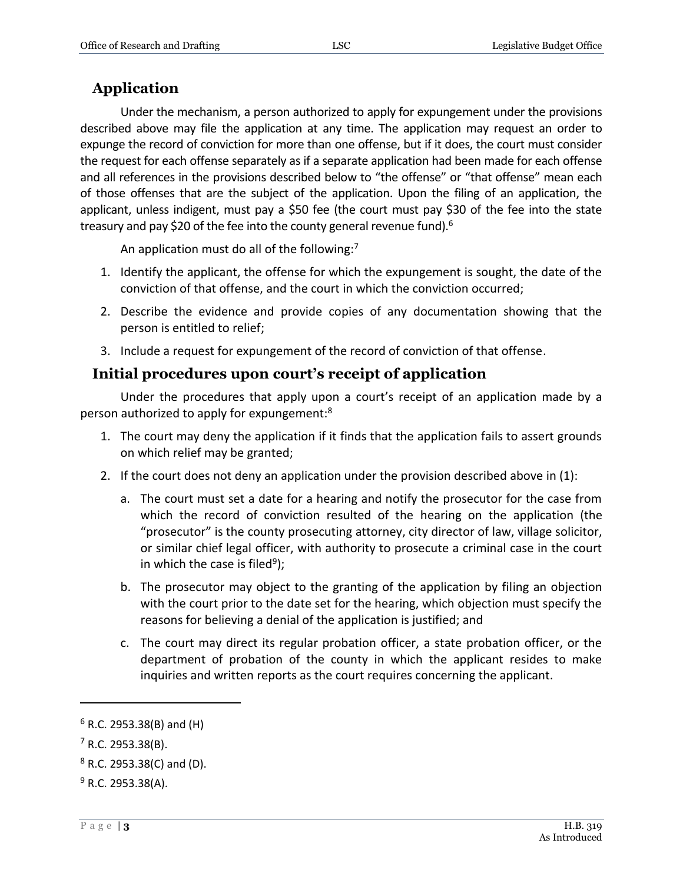#### **Application**

Under the mechanism, a person authorized to apply for expungement under the provisions described above may file the application at any time. The application may request an order to expunge the record of conviction for more than one offense, but if it does, the court must consider the request for each offense separately as if a separate application had been made for each offense and all references in the provisions described below to "the offense" or "that offense" mean each of those offenses that are the subject of the application. Upon the filing of an application, the applicant, unless indigent, must pay a \$50 fee (the court must pay \$30 of the fee into the state treasury and pay \$20 of the fee into the county general revenue fund).<sup>6</sup>

An application must do all of the following:<sup>7</sup>

- 1. Identify the applicant, the offense for which the expungement is sought, the date of the conviction of that offense, and the court in which the conviction occurred;
- 2. Describe the evidence and provide copies of any documentation showing that the person is entitled to relief;
- 3. Include a request for expungement of the record of conviction of that offense.

#### **Initial procedures upon court's receipt of application**

Under the procedures that apply upon a court's receipt of an application made by a person authorized to apply for expungement:<sup>8</sup>

- 1. The court may deny the application if it finds that the application fails to assert grounds on which relief may be granted;
- 2. If the court does not deny an application under the provision described above in (1):
	- a. The court must set a date for a hearing and notify the prosecutor for the case from which the record of conviction resulted of the hearing on the application (the "prosecutor" is the county prosecuting attorney, city director of law, village solicitor, or similar chief legal officer, with authority to prosecute a criminal case in the court in which the case is filed<sup>9</sup>);
	- b. The prosecutor may object to the granting of the application by filing an objection with the court prior to the date set for the hearing, which objection must specify the reasons for believing a denial of the application is justified; and
	- c. The court may direct its regular probation officer, a state probation officer, or the department of probation of the county in which the applicant resides to make inquiries and written reports as the court requires concerning the applicant.

 $6$  R.C. 2953.38(B) and (H)

 $7$  R.C. 2953.38(B).

 $8$  R.C. 2953.38(C) and (D).

 $9$  R.C. 2953.38(A).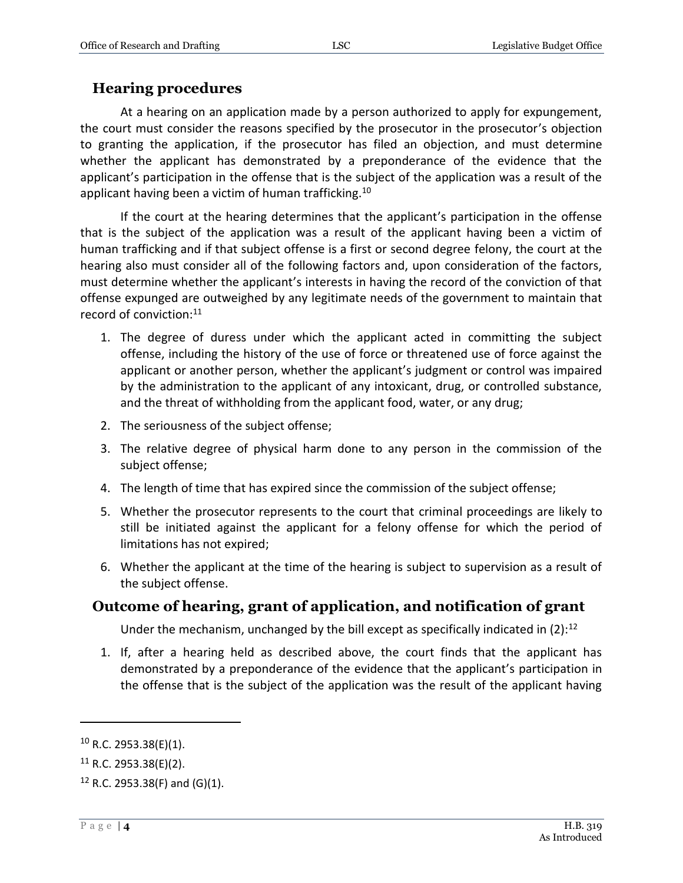#### **Hearing procedures**

At a hearing on an application made by a person authorized to apply for expungement, the court must consider the reasons specified by the prosecutor in the prosecutor's objection to granting the application, if the prosecutor has filed an objection, and must determine whether the applicant has demonstrated by a preponderance of the evidence that the applicant's participation in the offense that is the subject of the application was a result of the applicant having been a victim of human trafficking.<sup>10</sup>

If the court at the hearing determines that the applicant's participation in the offense that is the subject of the application was a result of the applicant having been a victim of human trafficking and if that subject offense is a first or second degree felony, the court at the hearing also must consider all of the following factors and, upon consideration of the factors, must determine whether the applicant's interests in having the record of the conviction of that offense expunged are outweighed by any legitimate needs of the government to maintain that record of conviction:<sup>11</sup>

- 1. The degree of duress under which the applicant acted in committing the subject offense, including the history of the use of force or threatened use of force against the applicant or another person, whether the applicant's judgment or control was impaired by the administration to the applicant of any intoxicant, drug, or controlled substance, and the threat of withholding from the applicant food, water, or any drug;
- 2. The seriousness of the subject offense;
- 3. The relative degree of physical harm done to any person in the commission of the subject offense;
- 4. The length of time that has expired since the commission of the subject offense;
- 5. Whether the prosecutor represents to the court that criminal proceedings are likely to still be initiated against the applicant for a felony offense for which the period of limitations has not expired;
- 6. Whether the applicant at the time of the hearing is subject to supervision as a result of the subject offense.

#### **Outcome of hearing, grant of application, and notification of grant**

Under the mechanism, unchanged by the bill except as specifically indicated in  $(2)$ :<sup>12</sup>

1. If, after a hearing held as described above, the court finds that the applicant has demonstrated by a preponderance of the evidence that the applicant's participation in the offense that is the subject of the application was the result of the applicant having

 $10$  R.C. 2953.38(E)(1).

 $11$  R.C. 2953.38(E)(2).

 $12$  R.C. 2953.38(F) and (G)(1).